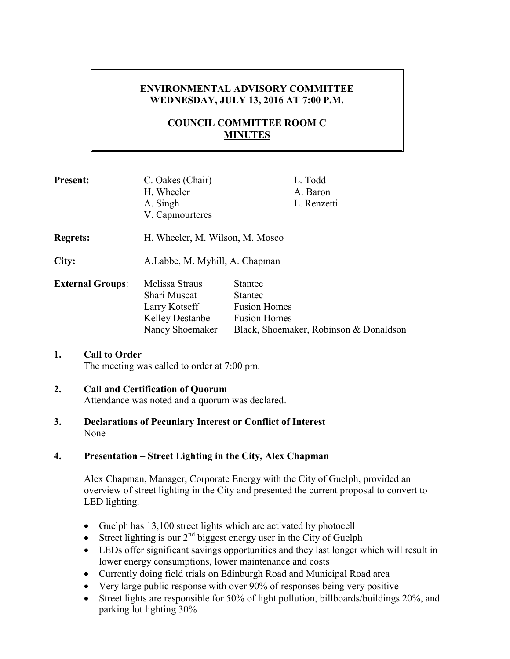# **ENVIRONMENTAL ADVISORY COMMITTEE WEDNESDAY, JULY 13, 2016 AT 7:00 P.M.**

# **COUNCIL COMMITTEE ROOM C MINUTES**

| <b>Present:</b>         | C. Oakes (Chair)<br>H. Wheeler<br>A. Singh<br>V. Capmourteres                                | L. Todd<br>A. Baron<br>L. Renzetti                                                                                       |
|-------------------------|----------------------------------------------------------------------------------------------|--------------------------------------------------------------------------------------------------------------------------|
| <b>Regrets:</b>         | H. Wheeler, M. Wilson, M. Mosco                                                              |                                                                                                                          |
| City:                   | A.Labbe, M. Myhill, A. Chapman                                                               |                                                                                                                          |
| <b>External Groups:</b> | Melissa Straus<br>Shari Muscat<br>Larry Kotseff<br><b>Kelley Destanbe</b><br>Nancy Shoemaker | <b>Stantec</b><br><b>Stantec</b><br><b>Fusion Homes</b><br><b>Fusion Homes</b><br>Black, Shoemaker, Robinson & Donaldson |

# **1. Call to Order**

The meeting was called to order at 7:00 pm.

## **2. Call and Certification of Quorum**

Attendance was noted and a quorum was declared.

**3. Declarations of Pecuniary Interest or Conflict of Interest**  None

# **4. Presentation – Street Lighting in the City, Alex Chapman**

Alex Chapman, Manager, Corporate Energy with the City of Guelph, provided an overview of street lighting in the City and presented the current proposal to convert to LED lighting.

- Guelph has 13,100 street lights which are activated by photocell
- Street lighting is our  $2<sup>nd</sup>$  biggest energy user in the City of Guelph
- LEDs offer significant savings opportunities and they last longer which will result in lower energy consumptions, lower maintenance and costs
- Currently doing field trials on Edinburgh Road and Municipal Road area
- Very large public response with over 90% of responses being very positive
- Street lights are responsible for 50% of light pollution, billboards/buildings 20%, and parking lot lighting 30%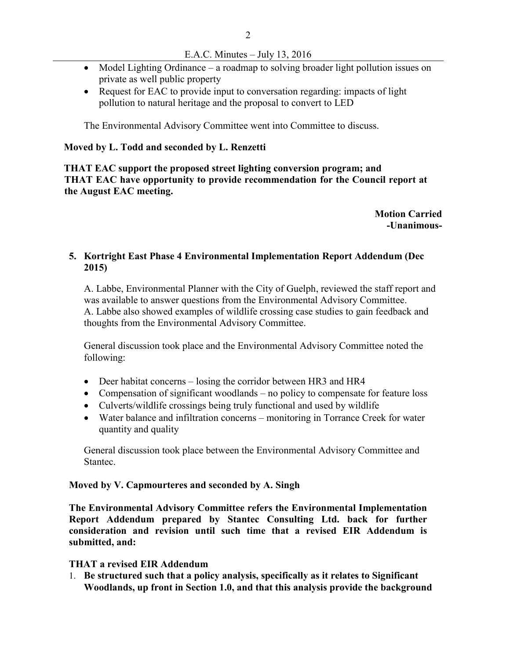- Model Lighting Ordinance a roadmap to solving broader light pollution issues on private as well public property
- Request for EAC to provide input to conversation regarding: impacts of light pollution to natural heritage and the proposal to convert to LED

The Environmental Advisory Committee went into Committee to discuss.

#### **Moved by L. Todd and seconded by L. Renzetti**

 **THAT EAC support the proposed street lighting conversion program; and THAT EAC have opportunity to provide recommendation for the Council report at the August EAC meeting.** 

> **Motion Carried -Unanimous-**

### **5. Kortright East Phase 4 Environmental Implementation Report Addendum (Dec 2015)**

A. Labbe, Environmental Planner with the City of Guelph, reviewed the staff report and was available to answer questions from the Environmental Advisory Committee. A. Labbe also showed examples of wildlife crossing case studies to gain feedback and thoughts from the Environmental Advisory Committee.

General discussion took place and the Environmental Advisory Committee noted the following:

- Deer habitat concerns losing the corridor between HR3 and HR4
- Compensation of significant woodlands no policy to compensate for feature loss
- Culverts/wildlife crossings being truly functional and used by wildlife
- Water balance and infiltration concerns monitoring in Torrance Creek for water quantity and quality

General discussion took place between the Environmental Advisory Committee and Stantec.

#### **Moved by V. Capmourteres and seconded by A. Singh**

**The Environmental Advisory Committee refers the Environmental Implementation Report Addendum prepared by Stantec Consulting Ltd. back for further consideration and revision until such time that a revised EIR Addendum is submitted, and:** 

### **THAT a revised EIR Addendum**

1. **Be structured such that a policy analysis, specifically as it relates to Significant Woodlands, up front in Section 1.0, and that this analysis provide the background**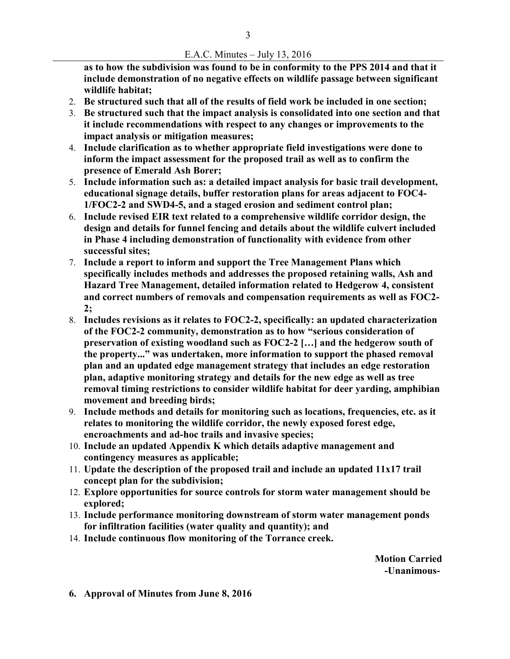**as to how the subdivision was found to be in conformity to the PPS 2014 and that it include demonstration of no negative effects on wildlife passage between significant wildlife habitat;** 

- 2. **Be structured such that all of the results of field work be included in one section;**
- 3. **Be structured such that the impact analysis is consolidated into one section and that it include recommendations with respect to any changes or improvements to the impact analysis or mitigation measures;**
- 4. **Include clarification as to whether appropriate field investigations were done to inform the impact assessment for the proposed trail as well as to confirm the presence of Emerald Ash Borer;**
- 5. **Include information such as: a detailed impact analysis for basic trail development, educational signage details, buffer restoration plans for areas adjacent to FOC4- 1/FOC2-2 and SWD4-5, and a staged erosion and sediment control plan;**
- 6. **Include revised EIR text related to a comprehensive wildlife corridor design, the design and details for funnel fencing and details about the wildlife culvert included in Phase 4 including demonstration of functionality with evidence from other successful sites;**
- 7. **Include a report to inform and support the Tree Management Plans which specifically includes methods and addresses the proposed retaining walls, Ash and Hazard Tree Management, detailed information related to Hedgerow 4, consistent and correct numbers of removals and compensation requirements as well as FOC2- 2;**
- 8. **Includes revisions as it relates to FOC2-2, specifically: an updated characterization of the FOC2-2 community, demonstration as to how "serious consideration of preservation of existing woodland such as FOC2-2 […] and the hedgerow south of the property..." was undertaken, more information to support the phased removal plan and an updated edge management strategy that includes an edge restoration plan, adaptive monitoring strategy and details for the new edge as well as tree removal timing restrictions to consider wildlife habitat for deer yarding, amphibian movement and breeding birds;**
- 9. **Include methods and details for monitoring such as locations, frequencies, etc. as it relates to monitoring the wildlife corridor, the newly exposed forest edge, encroachments and ad-hoc trails and invasive species;**
- 10. **Include an updated Appendix K which details adaptive management and contingency measures as applicable;**
- 11. **Update the description of the proposed trail and include an updated 11x17 trail concept plan for the subdivision;**
- 12. **Explore opportunities for source controls for storm water management should be explored;**
- 13. **Include performance monitoring downstream of storm water management ponds for infiltration facilities (water quality and quantity); and**
- 14. **Include continuous flow monitoring of the Torrance creek.**

**Motion Carried -Unanimous-**

**6. Approval of Minutes from June 8, 2016**